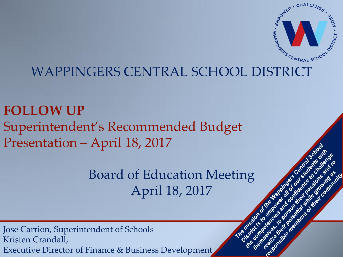

ass you inn

**Meir** 

overal state

emyes

ito ran

idonside a complete the world with

## WAPPINGERS CENTRAL SCHOOL DISTRICT

## **FOLLOW UP** Superintendent's Recommended Budget Presentation – April 18, 2017

## Board of Education Meeting April 18, 2017

Jose Carrion, Superintendent of Schools Kristen Crandall, Executive Director of Finance & Business Development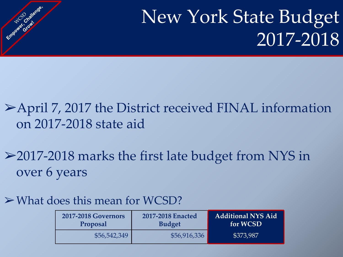## New York State Budget 2017-2018

## ➢April 7, 2017 the District received FINAL information on 2017-2018 state aid

➢2017-2018 marks the first late budget from NYS in over 6 years

#### $\triangleright$  What does this mean for WCSD?

Employee's complete

| <b>2017-2018 Governors</b> | 2017-2018 Enacted | <b>Additional NYS Aid</b> |  |
|----------------------------|-------------------|---------------------------|--|
| Proposal                   | <b>Budget</b>     | for WCSD                  |  |
| \$56,542,349               | \$56,916,336      | \$373,987                 |  |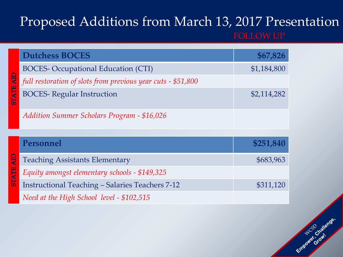# Proposed Additions from March 13, 2017 Presentation

| <b>Dutchess BOCES</b>                                        | \$67,826    |
|--------------------------------------------------------------|-------------|
| <b>BOCES- Occupational Education (CTI)</b>                   | \$1,184,800 |
| full restoration of slots from previous year cuts - \$51,800 |             |
| <b>BOCES-Regular Instruction</b>                             | \$2,114,282 |
| <b>Addition Summer Scholars Program - \$16,026</b>           |             |
|                                                              |             |
| Personnel                                                    |             |
|                                                              | \$251,840   |
| <b>Teaching Assistants Elementary</b>                        | \$683,963   |
| Equity amongst elementary schools - \$149,325                |             |
| <b>Instructional Teaching - Salaries Teachers 7-12</b>       | \$311,120   |

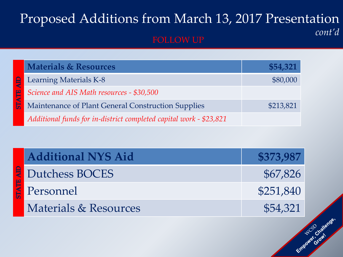## Proposed Additions from March 13, 2017 Presentation *cont'd*

| <b>Materials &amp; Resources</b>                                   | \$54,321  |
|--------------------------------------------------------------------|-----------|
| Learning Materials K-8                                             | \$80,000  |
| Science and AIS Math resources - \$30,500                          |           |
| Maintenance of Plant General Construction Supplies                 | \$213,821 |
| Additional funds for in-district completed capital work - \$23,821 |           |

| <b>Additional NYS Aid</b>        | \$373,987 |
|----------------------------------|-----------|
| Dutchess BOCES                   | \$67,826  |
| Personnel                        | \$251,840 |
| <b>Materials &amp; Resources</b> | \$54,321  |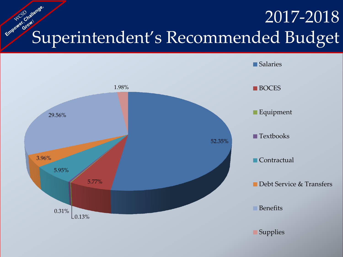## 2017-2018 Superintendent's Recommended Budget

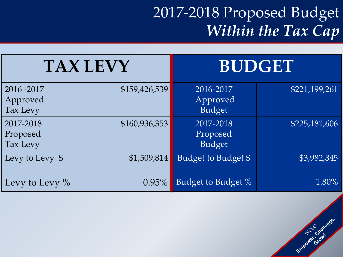## 2017-2018 Proposed Budget *Within the Tax Cap*

| <b>TAX LEVY</b>                     |               | <b>BUDGET</b>                          |               |
|-------------------------------------|---------------|----------------------------------------|---------------|
| 2016 - 2017<br>Approved<br>Tax Levy | \$159,426,539 | 2016-2017<br>Approved<br><b>Budget</b> | \$221,199,261 |
| 2017-2018<br>Proposed<br>Tax Levy   | \$160,936,353 | 2017-2018<br>Proposed<br><b>Budget</b> | \$225,181,606 |
| Levy to Levy \$                     | \$1,509,814   | Budget to Budget \$                    | \$3,982,345   |
| Levy to Levy $\%$                   | $0.95\%$      | Budget to Budget %                     | 1.80%         |

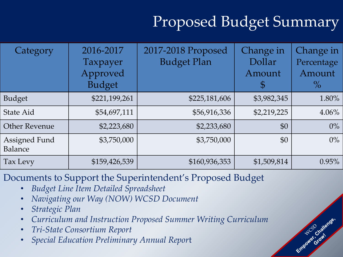## Proposed Budget Summary

Empower Grawiange.

| Category                        | 2016-2017<br>Taxpayer<br>Approved<br><b>Budget</b> | 2017-2018 Proposed<br><b>Budget Plan</b> | Change in<br>Dollar<br>Amount<br>$\mathfrak{F}$ | Change in<br>Percentage<br>Amount<br>$\%$ |
|---------------------------------|----------------------------------------------------|------------------------------------------|-------------------------------------------------|-------------------------------------------|
| Budget                          | \$221,199,261                                      | \$225,181,606                            | \$3,982,345                                     | 1.80%                                     |
| <b>State Aid</b>                | \$54,697,111                                       | \$56,916,336                             | \$2,219,225                                     | $4.06\%$                                  |
| <b>Other Revenue</b>            | \$2,223,680                                        | \$2,233,680                              | \$0                                             | $0\%$                                     |
| <b>Assigned Fund</b><br>Balance | \$3,750,000                                        | \$3,750,000                              | \$0                                             | $0\%$                                     |
| Tax Levy                        | \$159,426,539                                      | \$160,936,353                            | \$1,509,814                                     | 0.95%                                     |

Documents to Support the Superintendent's Proposed Budget

- *Budget Line Item Detailed Spreadsheet*
- *Navigating our Way (NOW) WCSD Document*
- *Strategic Plan*
- *Curriculum and Instruction Proposed Summer Writing Curriculum*
- *Tri-State Consortium Report*
- *Special Education Preliminary Annual Repor*t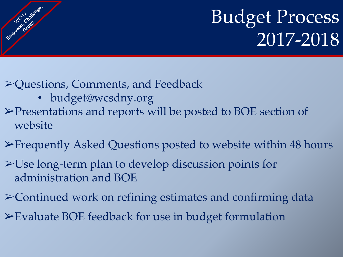## Budget Process 2017-2018

➢Questions, Comments, and Feedback

• budget@wcsdny.org

Empound Crowns

- ➢Presentations and reports will be posted to BOE section of website
- ➢Frequently Asked Questions posted to website within 48 hours
- ➢Use long-term plan to develop discussion points for administration and BOE
- ➢Continued work on refining estimates and confirming data
- ➢Evaluate BOE feedback for use in budget formulation